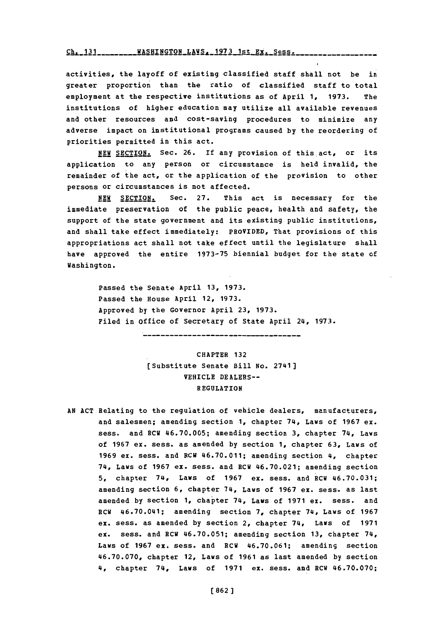Ch. 131 \_\_\_\_\_\_\_\_\_ WASHINGTON\_LAWS. 1973 1st Ex. Sess. \_\_

activities, the layoff of existing classified staff shall not be in greater proportion than the ratio of classified *staff* to total employment at the respective institutions as of April **1, 1973.** The institutions of higher education may utilize all available revenues and other resources and cost-saving procedures to minimize any adverse impact on institutional programs caused **by** the reordering of priorities permitted in this act.

NEW SECTION. Sec. 26. If any provision of this act, or its application to any person or circumstance is held invalid, the remainder of the act, or the application of the provision to other persons or circumstances is not affected.

NEW SECTION. Sec. 27. This act is necessary for the immediate preservation of the public peace, health and safety, the support of the state government and its existing public institutions, and shall take effect immediately: PROVIDED, That provisions of this appropriations act shall not take effect until the legislature shall have approved the entire **1973-75** biennial budget for the state of Washington.

Passed the Senate April **13, 1973.** Passed the House April 12, **1973.** Approved **by** the Governor April **23, 1973.** Filed in office of Secretary of State April 24, **1973.**

> CHAPTER **132** [Substitute Senate Bill No. 2741] VEHICLE DEALERS-- REGULATION

**AN ACT** Relating to the regulation of vehicle dealers, manufacturers, and salesmen; amending section **1,** chapter 74, Laws of **1967** ex. sess. and RCW **46.70.005;** amending section **3,** chapter 74, Laws of **1967** ex. sess. as amended **by** section **1,** chapter **63,** Laws of **1969** ex. sess. and RCW 46.70.011; amending section 4, chapter 74, Laws of **1967** ex. sess. and RCW 46.70.021; amending section **5,** chapter 74, Lays of **1967** ex. sess. and RCW **46.70.031;** amending section **6,** chapter 74, Laws of **1967 ex.** sess. as last amended **by** section **1,** chapter 74, Laws of **1971** ex. sess. and RCW 46.70.041; amending section **7,** chapter 74, Laws of **1967** ex. sess. as amended **by** section 2, chapter 74, Laws of **1971** ex. sess. and RCW **46.70.051;** amending section **13,** chapter 74, Laws of **1967** ex. sess. and RCW **46.70.061;** amending section **46.70.070,** chapter 12, Laws of **1961** as last amended **by** section 4, chapter 74, Laws of **1971** ex. sess. and RCW **46.70.070;**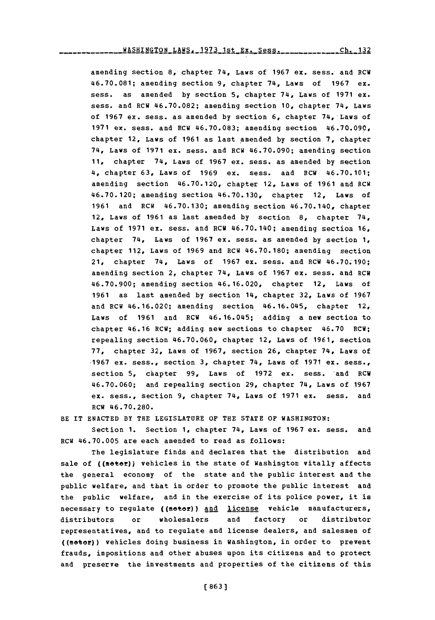amending section 8, chapter 74, Laws of 1967 ex. sess. and RCW 46.70.081; amending section 9, chapter 74, Laws of 1967 ex. sess. as amended by section 5, chapter 74, Laws of 1971 ex. sess. and RCW 46.70.082; amending section 10, chapter 74, Laws of 1967 ex. sess. as amended by section 6, chapter 74, Laws of 1971 ex. sess. and RCW 46.70.083; amending section 46.70.090, chapter 12, Laws of 1961 as last amended by section 7, chapter 74, Laws of 1971 ex. sess. and RCW 46.70.090; amending section 11, chapter 74, Laws of 1967 ex. sess. as amended by section 4. chapter 63, Laws of 1969 ex. sess. and RCW 46.70.101; amending section 46.70.120, chapter 12, Laws of 1961 and RCW 46.70.120; amending section 46.70.130, chapter 12, Laws of 1961 and RCW 46.70.130; amending section 46.70.140, chapter 12, Laws of 1961 as last amended by section 8, chapter 74, Laws of 1971 ex. sess. and RCW 46.70.140; amending section  $16$ , chapter 74, Laws of 1967 ex. sess. as amended by section 1, chapter 112, Laws of 1969 and RCW 46.70.180; amending section 21, chapter 74, Laws of 1967 ex. sess. and RCW 46.70.190; amending section 2, chapter 74, Laws of 1967 ex. sess. and RCW 46.70.900; amending section 46.16.020, chapter 12, Laws of 1961 as last amended by section 14, chapter 32, Laws of 1967 and RCW 46.16.020; amending section 46.16.045, chapter 12, Laws of 1961 and RCW 46.16.045; adding a new section to chapter 46.16 RCW; adding new sections to chapter 46.70 RCW; repealing section 46.70.060, chapter 12, Laws of 1961, section 77, chapter 32, Laws of 1967, section 26, chapter 74, Laws of 1967 ex. sess., section 3, chapter  $74$ , Laws of 1971 ex. sess., section 5, chapter 99, Laws of 1972 ex. sess. and RCW 46.70.060; and repealing section 29, chapter 74, Laws of 1967 ex. sess., section 9, chapter 74, Laws of 1971 ex. sess. and RCW 46.70.280.

BE IT ENACTED BY THE LEGISLATURE OF THE STATE OF WASHINGTON:

Section 1. Section 1, chapter 74, Laws of 1967 ex. sess. and RCW 46.70.005 are each amended to read as follows:

The legislature finds and declares that the distribution and sale of ((motor)) vehicles in the state of Washington vitally affects the general economy of the state and the public interest and the public welfare, and that in order to promote the public interest and the public welfare, and in the exercise of its police power, it is necessary to regulate ((motor)) and license vehicle manufacturers, factory distributors  $\circ$ r wholesalers and  $\circ$ r distributor representatives, and to regulate and license dealers, and salesmen of ((motor)) vehicles doing business in Washington, in order to prevent frauds, impositions and other abuses upon its citizens and to protect and preserve the investments and properties of the citizens of this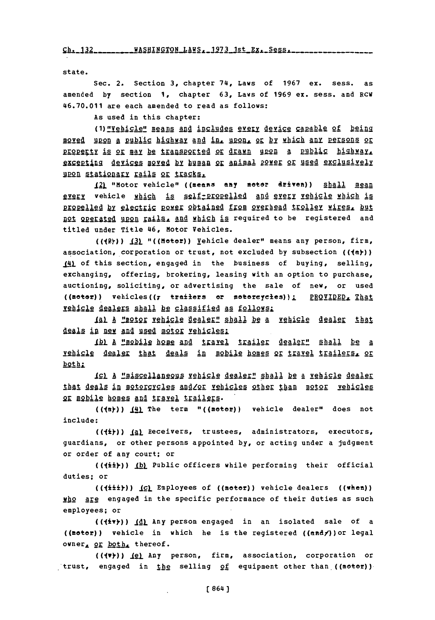Ch. 132 \_\_\_\_\_\_\_\_ WASHINGTON LAWS, 1973 1st Ex. Sess. \_\_\_\_\_\_\_\_

state.

Sec. 2. Section 3, chapter 74, Laws of 1967 ex. sess. as amended by section 1, chapter 63, Laws of 1969 ex. sess. and RCW 46.70.011 are each amended to read as follows:

As used in this chapter:

(1) "Vehicle" means and includes every device capable of being moyed upon a public highway and in, upon, or by which any persons or property is or may be transported or drawn upon a public highway, excepting devices moved by human or animal power or used exclusively upon stationary rails or tracks.

12) "Motor vehicle" ((means any motor driven)) shall mean every vehicle which is self-propelled and every vehicle which is propelled by electric power obtained from overhead trolley wires, but not operated upon rails, and which is required to be registered and titled under Title 46, Motor Vehicles.

(((2))) (3) "((Hotor)) Yehicle dealer" means any person, firm, association, corporation or trust, not excluded by subsection (((a))) 14) of this section, engaged in the business of buying, selling, exchanging, offering, brokering, leasing with an option to purchase, auctioning, soliciting, or advertising the sale of new, or used ((motor)) vehicles((7 trailers or motorcycles)); PROVIDED, That vehicle dealers shall be classified as follows:

1al A "motor vehicle dealer" shall be a vehicle dealer that deals in new and used motor vehicles:

1bl A "mobile home and travel trailer dealer" shall be a vehicle dealer that deals in mobile homes or travel trailers, or both:

<u>ICI à "miscellaneous vehicle dealer" shall be a vehicle dealer</u> that deals in motorcycles and/or vehicles other than motor vehicles OF mobile homes and travel trailers.

(((a)))  $(4)$  The term "((motor)) vehicle dealer" does not include:

 $($ ( $\{\pm\}$ )) (a) Receivers, trustees, administrators, executors, guardians, or other persons appointed by, or acting under a judgment or order of any court; or

(((ii)) (b) Public officers while performing their official duties; or

(((iii))) (c) Employees of ((motor)) vehicle dealers ((when)) who are engaged in the specific performance of their duties as such employees; or

(((+\*\*)) (d) Any person engaged in an isolated sale of a ((motor)) vehicle in which he is the registered ((andy)) or legal owner, or both, thereof.

(((v))) (e) Any person, firm, association, corporation or trust, engaged in the selling of equipment other than ((motor))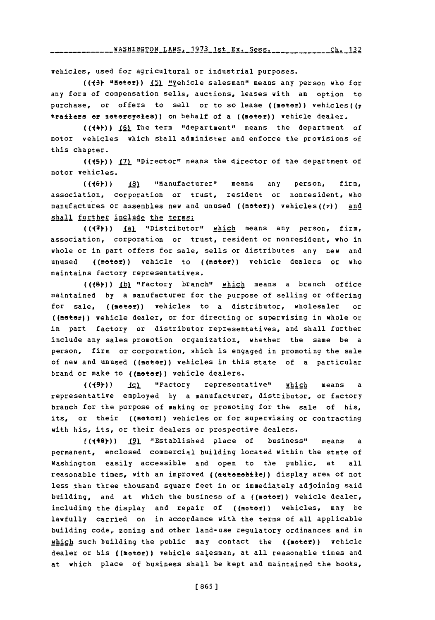**ch 1V2** WRCUTUr-rPnM T **AWC: 1973 1** t **- -- - - - - - -** c **g - - - - - - - - - - -** rh **<sup>1</sup>**1 **ly - - - - - - - - -**

vehicles, used for agricultural or industrial purposes.

(((3) "Hotor)) **151** "Vehicle salesman" means any person who for any form of compensation sells, auctions, leases with an option to purchase, or offers to sell or to so lease ((motor)) vehicles( $(r$ trailers or motorcycles)) on behalf of a ((motor)) vehicle dealer.

(((\*)) (6) The term "department" means the department of motor vehicles which shall administer and enforce the provisions of this chapter.

((45)) [7] "Director" means the director of the department of motor vehicles.

MW6)) **(81** "Manufacturer" means any person, firm, association, corporation or trust, resident or nonresident, who manufactures or assembles new and unused ((metefl) vehicles((7)) **and** shall <u>further include</u> the terms:

((7)) <u>(a)</u> "Distributor" which means any person, firm, association, corporation or trust, resident or nonresident, who in whole or in part offers for sale, sells or distributes any new and unused ((motor)) vehicle to ((motor)) vehicle dealers or who maintains factory representatives.

**((18Y)) .LbI** "Factory branch" which means a branch office maintained **by** a manufacturer for the purpose of selling or offering for sale, ((metef)) vehicles to a distributor, wholesaler or ((motor)) vehicle dealer, or for directing or supervising in whole or in part factory or distributor representatives, and shall further include any sales promotion organization, whether the same be a person, firm or corporation, which is engaged in promoting the sale of new and unused ((meter)) vehicles in this state of a particular brand or make to ((moter)) vehicle dealers.

**((19))** \_(2) "Factory representative" which means a representative employed **by** a manufacturer, distributor, or factory branch for the purpose of making or promoting for the sale of his, its, or their ((meter)) vehicles or for supervising or contracting with his, its, or their dealers or prospective dealers.

(((10)) (9) "Established place of business" means a permanent, enclosed commercial building located within the state of Washington easily accessible and open to the public, at all reasonable times, with an improved ((antemobile)) display area of not less than three thousand square feet in or immediately adjoining said building, and at which the business of a ((motor)) vehicle dealer, including the display and repair of ((motor)) vehicles, may be lawfully carried on in accordance with the terms of all applicable building code, zoning and other land-use regulatory ordinances and in which such building the public may contact the ((moter)) vehicle dealer or his ((meter)) vehicle salesman, at all reasonable times and at which place of business shall be kept and maintained the books,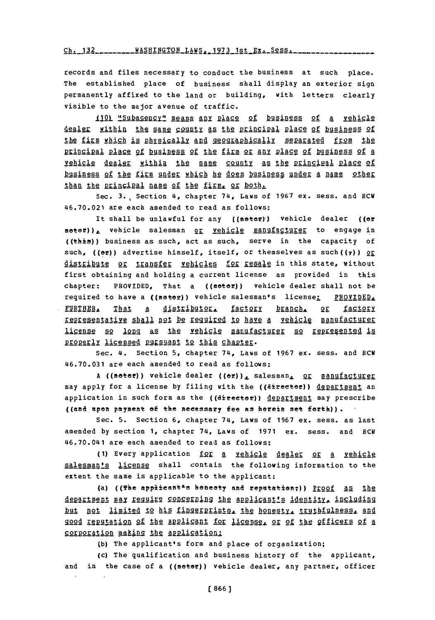Ch. 132 \_\_\_\_\_\_\_\_ WASHINGTON LAWS, 1973 1st Ex. Sess. \_\_\_\_\_\_\_\_

records and files necessary to conduct the business at such place. The established place of business shall display an exterior sign permanently affixed to the land or building, with letters clearly visible to the major avenue of traffic.

**IJ1QL** " **1lape** means **an]** of busines of a vehicle dealgg within th2 agme **p9galy** a& the princiPal PlAce **of** business of the firm which is physically and geographically separated from the pringipal plage of business of the firm or any place of business of a vehicle dealer within the same county as the principal place of business of the firm under which he does business under a name other than the principal name of the firm, or both.

Sec. **3.** Section **4,** chapter 74, Laws of **1967** ex. sess. and **RCW** 46.70.021 are each amended to read as follows:

It shall be unlawful for any ((motor)) vehicle dealer ((or motor)), vehicle salesman or vehicle manufacturer to engage in ((this)) business as such, act as such, serve in the capacity of such, ((er)) advertise himself, itself, or themselves as such((7))  $QE$ distribute or transfer vehicles for resale in this state, without first obtaining and holding a current license as provided in this chapter: PROVIDED, That a ((meter)) vehicle dealer shall not be required to have a ((motor)) vehicle salesman's license: PROVIDED. **FURTHER, That a distributor, factory branch, or factory** representative shall not be reguired to have a vehicle manufacturer ligense so long as the vehicle manufacturer so represented is properly licensed pursuant to this chapter.

Sec. 4. Section **5,** chapter 74, Laws of **1967** ex. sess. and RCW **46.70.031** are each amended to read as follows:

A ((motor)) vehicle dealer ((or)), salesman, or manufacturer may apply for a license by filing with the ((director)) department an application in such form as the ((director)) department may prescribe ((and open payment of the necessary fee as herein set forth)).

Sec. **5.** Section **6,** chapter 74, Laws of **1967** ex. sess. as last amended **by** section **1,** chapter 74, Laws of **1971 ex.** sess. and RCW 46.70.041 are each amended to read as follows:

**(1)** Every application foi a vehicle dealer or a vehicle salesman's license shall contain the following information to the extent the same is applicable to the applicant:

(a) ((The applicant<sup>a</sup>s honesty and reputation;)) Proof as the department may reguire concerning the applicant's identity, including but not limited to his fingerprints, the honesty. truthfulness. and god reputation of the applicant for license. or of the officers of a corporation making the application:

**(b)** The applicant's form and place of organization;

(c) The qualification and business history of the applicant, and in the case of a ((moter)) vehicle dealer, any partner, officer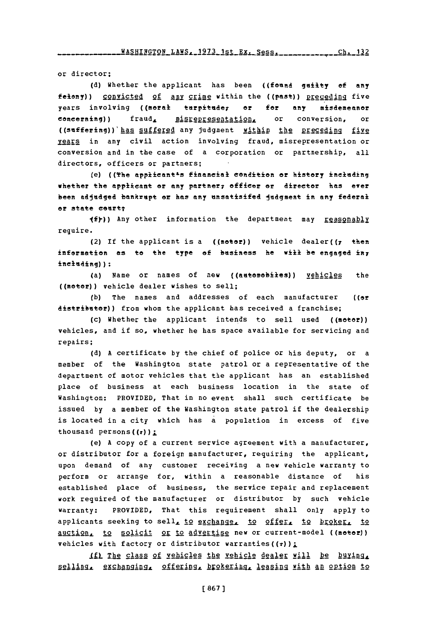or director;

**(d)** Whether the applicant has been ((foam& guity of **anty** felony)) convicted of any crime within the ((past)) preceding five years involving ((moral turpitude, or for any misdemeanor concerning)) fraud, misrepresentation, or conversion, or ((suffering)) has suffered any judgment within the preceding five years in any civil action involving fraud, misrepresentation or conversion and in the case of a corporation or partnership, all directors, officers or partners;

(e) ((The applicant<sup>1</sup>s financial condition or history including whether the applicant or any partner; officer or director has ever been adjudged bankrupt or has any unsatisifed judgment in any federal or state ceurt;

**(f))** Any other information the department may reasonably require.

(2) If the applicant is a ((motor)) vehicle dealer( $(r - th$ en information **as** to the type **of** business he **will be engaged** iny including)):

(a) Name or names of new ((adtemebies)) vehicles the ((motor)) vehicle dealer wishes to sell;

**(b)** The names and addresses of each manufacturer ((or distributor)) from whom the applicant has received a franchise;

(c) Whether the applicant intends to sell used ((motor)) vehicles, and if so, whether he has space available for servicing and repairs;

**(d) A** certificate **by** the chief of police or his deputy, or a member of the Washington state patrol or a representative of the department of motor vehicles that the applicant has an established place of business at each business location in the state of Washington: PROVIDED, That in no event shall such certificate be issued **by** a member of the Washington state patrol if the dealership is located in a city which has a population in excess of five thousand persons $((\tau))$ :

(e) **A** copy of a current service agreement with a manufacturer, or distributor for a foreign manufacturer, requiring the applicant, upon demand of any customer receiving a new vehicle warranty to perform or arrange for, within a reasonable distance of his established place of business, the service repair and replacement work required of the manufacturer or distributor **by** such vehicle warranty: PROVIDED, That this requirement shall only apply to applicants seeking to sell, to exchange, to offer, to broker, to auction, to solicit or to advertise new or current-model ((motor)) vehicles with factory or distributor warranties(( $\tau$ ));

If) The class of vehicles the vehicle dealer will be buying, selling, exchanging, offering, brokering, leasing with an option to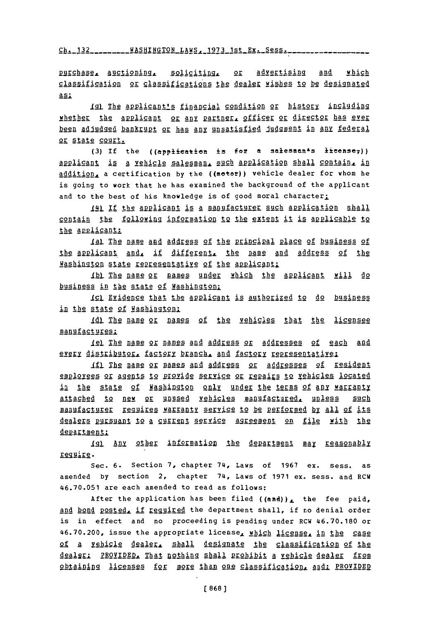Ch. 132 \_\_\_\_\_\_\_\_ WASHINGTON\_LAWS \_\_ 1973\_1st \_Ex. Sess. \_\_\_\_\_\_\_\_\_\_\_\_\_\_\_\_\_

purchase, auctioning, soliciting, or advertising and which classification or classifications the dealer wishes to be designated as:

Igl The applicant's financial condition or history including whether the applicant or any partner, officer or director has ever been adjudged bankrupt or has any unsatisfied judgment in any federal or state court.

(3) If the ((application is for a salesman<sup>4</sup>s license<sub>7</sub>)) applicant is a vehicle salesman, such application shall contain, in addition, a certification by the ((motor)) vehicle dealer for whom he is going to work that he has examined the background of the applicant and to the best of his knowledge is of good moral character;

141 If the applicant is a manufacturer such application shall contain the following information to the extent it is applicable to the applicant:

Ial The name and address of the principal place of business of the applicant and, if different, the name and address of the Washington state representative of the applicant:

Ibl The name or names under which the applicant will do business in the state of Washington:

Icl Evidence that the applicant is authorized to do business in the state of Washington:

Idl The name or names of the vehicles that the licensee manufactures:

1el The name or names and address or addresses of each and every distributor, factory branch, and factory representative;

If) The name or names and address or addresses of resident employees or agents to provide service or repairs to vehicles located in the state of Washington only under the terms of any warranty attached to new or unused vehicles manufactured, unless such manufacturer reguires warranty service to be performed by all of its dealers pursuant to a current service agreement on file with the department:

Ig) Any other information the department may reasonably reguire.

Sec. 6. Section 7, chapter 74, Laws of 1967 ex. sess. as amended by section 2, chapter 74, Laws of 1971 ex. sess. and RCW 46.70.051 are each amended to read as follows:

After the application has been filed ((and)), the fee paid, and bond posted, if required the department shall, if no denial order is in effect and no proceeding is pending under RCW 46.70.180 or 46.70.200, issue the appropriate license, which license, in the case of a vehicle dealer, shall designate the classification of the dealer: PROVIDED, That nothing shall prohibit a vehicle dealer from obtaining licenses for more than one classification, and: PROVIDED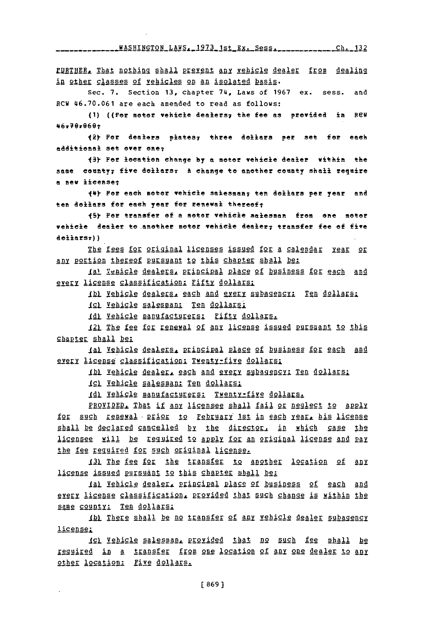\_\_\_\_\_\_\_\_WASHINGTON\_LAWS. 1973\_1st\_Ex. Sess. \_\_\_\_\_\_\_\_\_\_\_\_\_\_ Ch. 132

FURTHER, That nothing shall prevent any vehicle dealer from dealing in other classes of vehicles on an isolated basis.

Sec. 7. Section 13, chapter 74, Laws of 1967 ex. sess. and RCW 46.70.061 are each amended to read as follows:

(1) ((For motor vehicle dealers; the fee as provided in RCW 46.70.060.

(2) For dealers plates, three dollars per set for each additional set over one;

(3) For location change by a motor vehicle dealer within the same county; five dollars; A change to another county shall require a new license;

(4) Por each motor vehicle salesman; ten dollars per year and ten dollars for each year for renewal thereof;

(5) Por transfer of a motor vehicle salesman from one motor vehicle dealer to another motor vehicle dealer; transfer fee of five dellars:))

The fees for original licenses issued for a calendar year or any portion thereof pursuant to this chapter shall be:

(a) Tenicle dealers, principal place of business for each and every license classification; Fifty dollars;

(b) Vehicle dealers, each and every subagency: Ten dollars;

Icl Vehicle salesman: Ten dollars:

(d) Vehicle manufacturers: Fifty dollars.

121 The fee for renewal of any license issued pursuant to this chapter shall be:

Ial Vehicle dealers, principal place of business for each and every license classification; Twenty-five dollars;

(b) Vehicle dealer, each and every subagency: Ten dollars;

(c) Vehicle salesman: Ten dollars:

(d) Vehicle manufacturers: Twenty-five dollars.

PROVIDED. That if any licensee shall fail or neglect to apply for such renewal prior to February 1st in each year, his license shall be declared cancelled by the director, in which case the licensee will be tequited to apply for an original license and pay the fee required for such original license.

131 The fee for the transfer to another location of any license issued pursuant to this chapter shall be:

Ial Vehicle dealer, principal place of business of each and every license classification, provided that such change is within the same county: Ten dollars;

Ibl There shall be no transfer of any vehicle dealer subagency license:

(c) Vehicle salesman, provided that no such fee shall be required in a transfer from one location of any one dealer to any other location: Five dollars.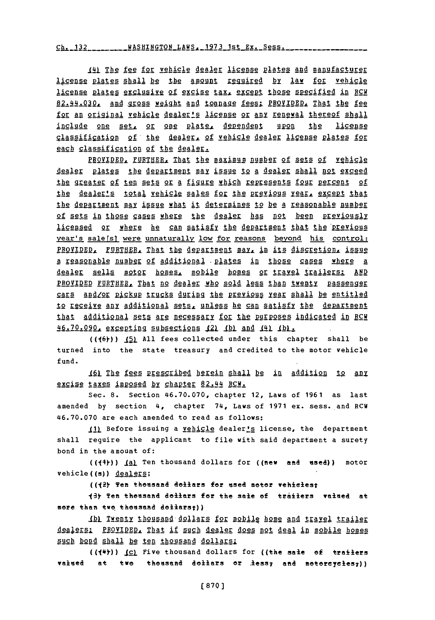. 132 **MASHINGTON LAWS, 1973 1st Ex. Ses.** 

\$1j The fee **for** vehicle dealer license plaes **and** magufacturer license plates shall be the amount required by law for vehicle license plates exclusive of excise tax, except those specified in RCM 82.44.030, and gross weight and tonnage fees: PROVIDED, That the fee for an original vehicle dealer's license or any renewal thereof shall include one set, or one plate, dependent upon the license classification of the dealer, of vehicle dealer license plates for each classification of the dealer.

PROVIDED, FURTHER, That the maximum number of sets of vehicle dealer plates the department may issue to a dealer shall not exceed the greater of ten sets or a figure which represents four percent of the dealer's total vehicle sales for the previous year, except that the department may issue what it determines to be a reasonable number of sets in those cases where the dealer has not been previously licensed or where he can satisfy the department that the previous year's sale[s] were unnaturally low for reasons beyond his control: PROVIDED, FURTHER, That the department may, in its discretion, issue a reasonable numbgr **of** additional .plates in those cases where a dealer sells motor homes, mobile homes or travel trailers: **AND** PROVIDED FURTHER, That no dealer who sold less than twenty passenger **ME** AnLQk Pgckup trucM Rnigg Ihg .212YIgg **Iear shall** be entitled to receive any additional sets, unless he can satisfy the department that additional sets are necessary for the purposes indicated in RCH **A46,.70.Lg09** ggggligg subsections 421 **\_JAj** and **jaLig** .

**((j6))) \_51 All** fees collected under this chapter shall be turned into the state treasury and credited to the motor vehicle fund.

1I1 **The 12e** rescribed herein shall be in addition to anX excise taxes imposed by chapter 82.44 RCW.

Sec. **8.** Section **46.70.070,** chapter 12, Laws of **1961** as last amended **by** section **4,** chapter 74, Laws of **1971** ex. sess. and RCU **46.70.070** are each amended to read as follows:

11) Before issuing a vehicle dealer's license, the department shall require the applicant to file with said department a surety bond in the amount of:

((144)) **\_(A)** Ten thousand dollars for ((new and used)) motor vehicle((s)) dealers;

(( $2$ ) Ten thousand dollars for used motor vehicles;

13t Ten theasand dellars for the sale **of** traiers **valued at** more than two thousand dollars;))

Ibl Twenty thousand dollars for mobile home and trayel trailer dealers: PROVIDED, That if such dealer does not deal in mobile homes such bond shall be ten thousand dollars:

**((jIe))** 1cL Five thousand dollars for ((the sale **of** trailers vaiued at two thousand doliars or .iess; and motorcycles;))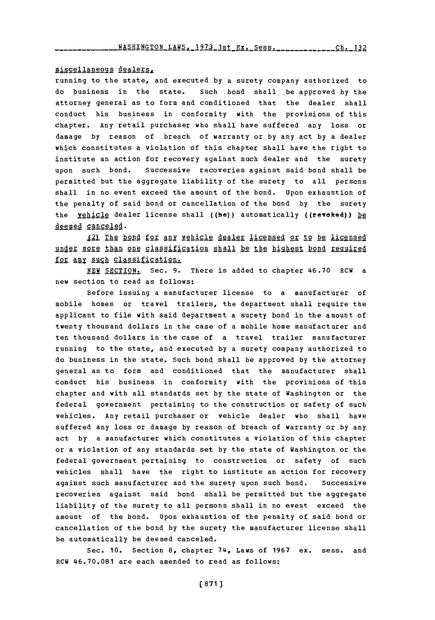## miscellaneous dealers,

running to the state, and executed **by** a surety company authorized to do business in the state. Such bond shall be approved **by** the attorney general as to form and conditioned that the dealer shall conduct his business in conformity with the provisions of this chapter. Any retail purchaser who shall have suffered any loss or damage **by** reason of breach of warranty or **by** any act **by** a dealer which constitutes a violation of this chapter shall have the right to institute an action for recovery against such dealer and the surety upon such bond. successive recoveries against said bond shall be permitted but the aggregate liability of the surety to all persons shall in no event exceed the amount of the bond. Upon exhaustion of the penalty of said bond or cancellation of the bond **by** the surety the **yehicle** dealer license shall ((be)) automatically ((revoked)) he deemed canceled.

12) The bond for any vehicle dealer licensed or to be licensed under more than one classification shall be the highest bond required for any such classification.

**NEW** SECTION. Sec. **9.** There is added to chapter 46.70 RCW a new section to read as follows:

Before issuing a manufacturer license to a manufacturer **of** mobile homes or travel trailers, the department shall require the applicant to file with said department a surety bond in the amount of twenty thousand dollars in the case of a mobile home manufacturer and ten thousand dollars in the case of a travel trailer manufacturer running to the state, and executed **by** a surety company authorized to do business in the state. Such bond shall be approved **by** the attorney general as to form and conditioned that the manufacturer shall conduct his business in conformity with the provisions of this chapter and with all standards set **by** the state of Washington or the federal government pertaining to the construction or safety of such vehicles. Any retail purchaser or vehicle dealer who shall have suffered any loss or damage **by** reason of breach of warranty or **by** any act **by** a manufacturer which constitutes a violation of this chapter or a violation of any standards set **by** the state of Washington or the federal government pertaining to construction or safety of such vehicles shall have the right to institute an action for recovery against such manufacturer and the surety upon such bond. Successive recoveries against said bond shall be permitted but the aggregate liability of the surety to all persons shall in no event exceed the amount of the bond. Upon exhaustion of the penalty of said bond or cancellation of the bond by the surety the manufacturer license shall be automatically be deemed canceled.

Sec. **10.** Section **8,** chapter 74, Laws of **1967** ex. sess. and RCW 46.70.081 are each amended to read as follows: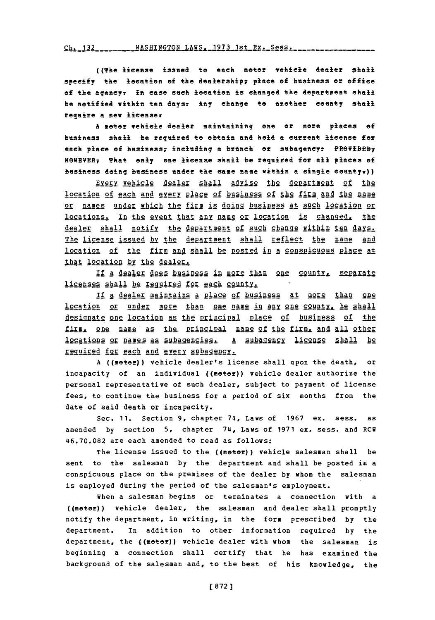$Ch. 132...$  WASHINGTON  $LHS. 1973$  1st  $Ex. 2955...$ 

((The license issued to each motor vehicle dealer shall specify the location of the dealership; place of business or office of the agency; In case such location is changed the department shall be notified within ten days: Any change to another county shail require a new licenser

A motor vehicle dealer maintaining one or more places of business shall be required to obtain and hold a current license for each place of business; including a branch or subagency: PROVIBEB; HOWEVER, That only one license shall be required for all places of business doing business under the same name within a single countyr))

Every vehicle dealer shall advise the department of the location of each and every place of business of the firm and the name or names under which the firm is doing business at such location or locations. In the event that any name or location is changed, the dealer shall notify the department of such change within ten days. The license issued by the department shall reflect the name and location of the firm and shall be posted in a conspicuous place at that location by the dealer.

If a dealer does business in more than one county, separate licenses shall be required for each county.

If a dealer maintains a place of business at more than one location or under more than one name in any one county, he shall designate one location as the principal place of business of the firm, one name as the principal name of the firm, and all other locations or names as subagencies. A subagency license shall be required for each and every subagency.

A ((motor)) vehicle dealer's license shall upon the death,  $\circ$ r incapacity of an individual ((motor)) vehicle dealer authorize the personal representative of such dealer, subject to payment of license fees, to continue the business for a period of six months from the date of said death or incapacity.

Sec. 11. Section 9, chapter 74, Laws of 1967 ex. sess. as. amended by section 5, chapter 74, Laws of 1971 ex. sess. and RCW 46.70.082 are each amended to read as follows:

The license issued to the ((motor)) vehicle salesman shall be sent to the salesman by the department and shall be posted in a conspicuous place on the premises of the dealer by whom the salesman is employed during the period of the salesman's employment.

When a salesman begins or terminates a connection with a ((motor)) vehicle dealer, the salesman and dealer shall promptly notify the department, in writing, in the form prescribed by the department. In addition to other information required by the department, the ((moter)) vehicle dealer with whom the salesman is beginning a connection shall certify that he has examined the background of the salesman and, to the best of his knowledge, the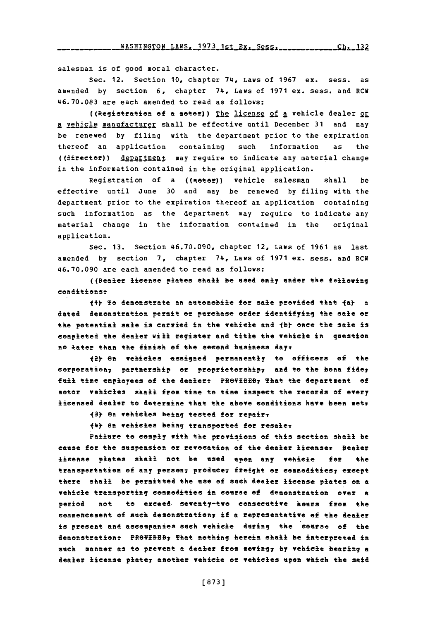salesman is of good moral character.

Sec. 12. Section **10,** chapter 74, Laws of **1967** ex. sess. as amended **by** section **6,** chapter 74, Laws of **1971** ex. sess. and RCU **46.70.083** are each amended to read as follows:

((Registration **of a** motor)) Th2 license of a vehicle dealer or **A** !Phiclg manufacturer shall be effective until December **31** and may be renewed **by** filing with the department prior to the expiration thereof an application containing such information as the ((director)) **department** may require to indicate any material change in the information contained in the original application.

Registration of a ((motor)) vehicle salesman shall be effective until June **30** and may be renewed **by** filing with the department prior to the expiration thereof an application containing such information as the department may require to indicate any material change in the information contained in the original application.

Sec. **13.** Section **46.70.090,** chapter 12, Laws of **1961** as last amended **by** section **7,** chapter 74, Laws of **1971** ex. sess. and ECU **46.70.090** are each amended to read as follows:

((Bealer license plates shall be used only under the following conditonst

1\*) To demonstrate an aetomobile for sale provided that I **a)** *<sup>a</sup>* dated demonstration permit or perchase order identifying the sale or the potential sale is carried in the vehicle **and 1by** once the sale is completed the dealer will register and title the vehicle in question **no later than the finish of the second business day** 

**fi** on vehicles -assigned permanently to officers **of** the corporation; partnership or proprietorship; and to the bona fide; fail time employees **of** the dealert FeVBE9 That the department **of** motor vehicles shall from time to time inspect the records of every licensed dealer to determine that the above conditions have been metr

**<sup>13</sup>en** vehicles being tested for repair?

fU) on vehicles being transported for resalev

Failere to comply with the provisions **of** this section shall be cause for the suspension or revocation of the dealer licenser Bealer license plates shall not be esed upon any vehicle for the transportation of any person; produce; freight or commodities; except there shall be permitted the use of such dealer license plates on **a** vehiele transporting commodities in course of demonstration over **a** period not to exceed. seventy-two conseeutive hours from the commencement **of** sueh desonstration; if **a** representative **of** the dealer is present and aceompanies such vehicle during the course **of** the demonstration: PROVIBEB7 That nothing herein shall be interpreted in such manner as to prevent **a** dealer from moving; **by** vehiele bearing **a** dealer license plate<sub>7</sub> another vehicle or vehicles upon which the said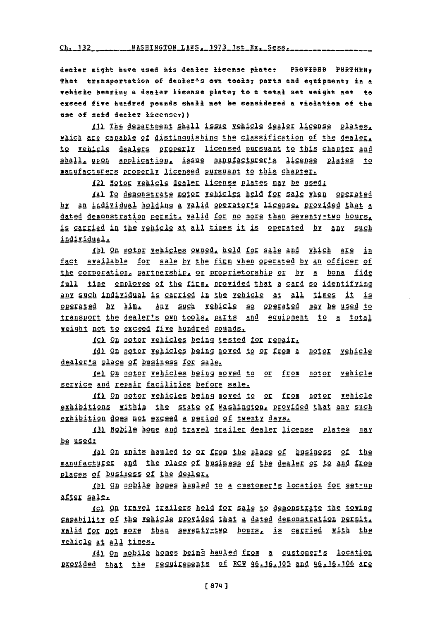$Ch. 132$   $HASHINGTOR$   $LARS$   $1973$   $1st$   $Ex. Segs$   $Sess$ 

dealer might have used his dealer license plate: PROVIBBB PURTHER, That transportation of dealer<sup>1</sup>s own tools; parts and equipment; in a vehicle bearing a dealer license plate; to a total net weight not to exceed five hundred pounds shall not be considered a violation of the use of said dealer licenser))

(1) The department shall issue vehicle dealer license plates, which are capable of distinguishing the classification of the dealer, to vehicle dealers properly licensed pursuant to this chapter and shall, upon application, issue manufacturer's license plates to manufacturers properly licensed pursuant to this chapter.

121 Motor vehicle dealer license plates may be used:

(a) To demonstrate motor vehicles held for sale when operated by an individual holding a valid operator's license, provided that a dated desonstration permit, valid for no more than seventy-two hours, is carried in the vehicle at all times it is operated by any such individual.

1bl On motor vehicles owned, held for sale and which are in fact available for sale by the firm when operated by an officer of the corporation, partnership, or proprietorship or by a bona fide full time emploree of the firm, provided that a card so identifying any such individual is carried in the vehicle at all times it is operated by him. Any such vehicle so operated may be used to transport the dealer's own tools, parts and equipment to a total weight not to exceed five hundred pounds.

ICI On motor vehicles being tested for repair.

1d1 On motor vehicles being moved to or from a motor vehicle dealer's place of business for sale.

<u>1el On motor vehicles being moved to or from motor vehicle</u> service and repair facilities before sale.

If) On motor vehicles being moved to or from motor vehicle exhibitions within the state of Washington, provided that any such exhibition does not exceed a period of twenty days.

131 Nobile home and travel trailer dealer license plates may be used:

1al On units hauled to or from the place of business of the manufacturer and the place of business of the dealer or to and from places of business of the dealer.

(b) On mobile homes hauled to a customer's location for settup after sale.

(c) On travel trailers held for sale to demonstrate the towing capability of the vehicle provided that a dated demonstration permit. valid for not more than seventy-two hours, is carried with the vehicle at all times.

(d) On mobile homes being hauled from a customer's location provided that the reguirements of RCM 46.16.105 and 46.16.106 are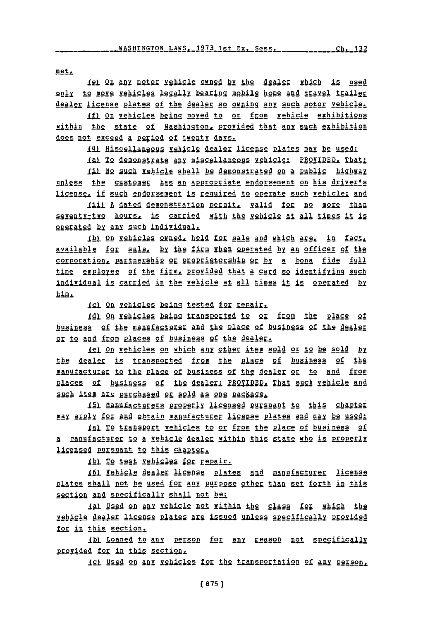met.

**Iel On any motor vehicle owned by the dealer which is used** only to move vehicles legally bearing mobile home and travel trailer dealer license plates of the dealer so owning any such motor vehicle.

If) On vehicles being moved to or from vehicle exhibitions within the state of Washington, provided that any such exhibition does not exceed a period of twenty days.

141 Hiscellaneous vehicle dealer license plates may be used:

**JAI** 12 **48521Al Any** Mi&scllaneog§ Xghiclgl PROVIDED. That:

Iil No such vehicle shall be demonstrated on a public highway unless the customer has an appropriate endorsement on his driver's license, if such endorsement is required to operate such vehicle; and

Jit **A** dated demonstration permit, valid for no more than seventy-two hours. is carried with the vehicle at all times it is operated **by Any** such individual.

Ib) On vehicles owned, held for sale and which are, in fact, available for sale, by the firm when operated by an officer of the corporation, partnership or proprietorship or by a bona fide full time employee of the firm, provided that a card so identifying such individual is carried in the vehicle at all times it is operated by him.

**1cl On vehicles being tested for repair.** 

141 9g **yghilea** being tLAn2EAS4 t2 2& **gj2m** the **plgc** of business of the manufacturer and the place of business of the dealer or to and from places of business of the dealer.

**<sup>181</sup>**on vehicles on which any **\_qthe** item sold or to be sold **by** the dealer is transported from the place of business of the manufactgurj to the piggg **of** business of the dealel 2R 1 **And** from places of business of the dealer: PROVIDED, That such vehicle and such item are purchased or sold as one package.

151 Manufacturers properly licensed pursuant to this chapter may apply for and obtain manufacturer license plates and may be used:

Ial To transport vehicles to or from the place of business of **<sup>A</sup>**mr a ghicle **AIr** withiP this s ate who is *2402211Y* licensed pursuant to this chapter.

Ibl To test vehicles for repair.

I61 Yehicle dealer license plates and manufacturer license plates shall not be used for **any** purpose othpp than set forth **in** this section and specifically shall not be:

aL Used on **Ay** vehicle not within the class fop which the vehigle dealer license plates are issued unless specifically provided for in this section.

Ibl Loaned to any person for any reason not specifically provided for in this section.

**ightharror is any vehicles for the transportation of any Person,**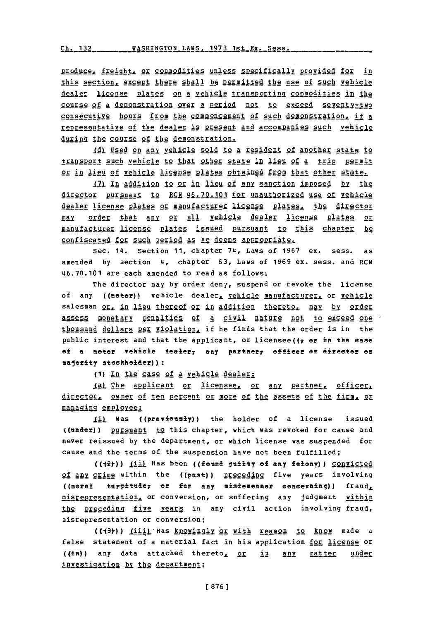<u>ch. 132 \_\_\_\_\_\_\_\_WASHINGTON LAWS, 1973 1st Ex. Se</u>

Produce, flgigqhl, **2g** g2godities unless specifically provided for in this section, except there shall be permitted the use of such vehicle igaAli license **p1ALS§** on **A** vehigle trapgportig commodities in the course of a demonstration over a period not to exceed seventy-two consecutive hours from the commencement of such demonstration, if a representative of the dealer is present and accompanies such vehicle during the course of the demonstration.

**11 §Sd** 2D **Any** vehicle sold to a resident of another state to transport such vehicle to that other state in lieu of a trip permit or in lieu of vehig1g **lictnSE** plates obiAined from that other state.

**17) In** addition to or in lieu of any sanction imposed by the director pursuant to RCW 46.70.101 for unauthorized use of vehicle dealer license plates or manufacturer license plates, the director MAI 95der thAt **al** or **all** vehicle dealer license plates or manufacturer license plates issued pursuant to this chapter be confiscated for such period as he deems appropriate.

Sec. 14. Section **11,** chapter 74, Laws of **1967** ex. sess. as amended **by** section 4, chapter **63,** Laws of **1969** ex. sess. and RCW 46.70.101 are each amended to read as follows:

The director may **by** order deny, suspend or revoke the license of any ((motor)) vehicle dealer, vehicle manufacturer, or vehicle salesman or, in lieu thereof or in addition thereto, may by order assess monetary penalties of a civil nature not to exceed one thousand dollars per violation, if he finds that the order is in the public interest and that the applicant, or licensee ( $(r$  or in the ease **of a** meter vehiele dealer7 any partnery officer **or** direeter **or** majority steekheider)):

**(1)** *In* the case **of** a vehicle dealer:

l) **Eh** Aplicant or licen§2g, or any **pALID2\_** officer, Airector. owner of ten percent or more of the assets of the firm. or managing employee:

1i11 Was ((previcesty)) the holder of a license issued ((under)) pursuant to this chapter, which was revoked for cause and never reissued **by** the department, or which license was suspended for cause and the terms of the suspension have not been fulfilled;

**((j2 ))** *\_3i)* Has been ((fend guilty **of** any felony)) convicted of **any** crime within the ((past)) preceding five years involving ((moral turpitude7 or for any misdemeaner eoneerning)) fraud,  $\texttt{missrepresentation.}$  or conversion, or suffering any judgment within the preceding five years in any civil action involving fraud, misrepresentation or conversion;

((43))) liiil Has knowingly or with reason to know made a false statement of a material fact in his application for license or ((in)) any data attached thereto<sub>r</sub> or in any matter under investigation by the department: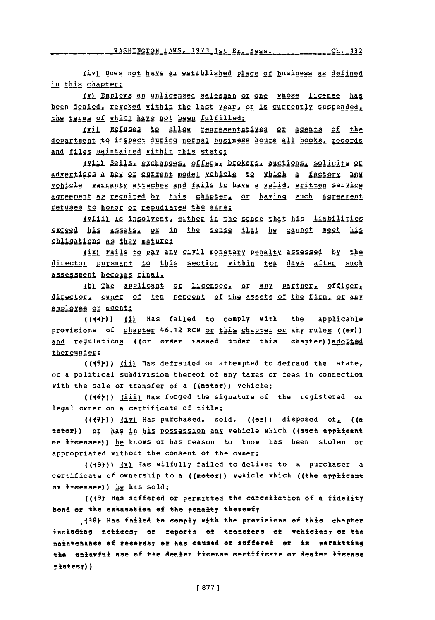111 Does not have an established Place of business as defined in this chapter;

il fap191s **An** unlicensed salesman or one whose license has been denied, revoked within the last year, or is currently suspended, the terms of which have not been fulfilled:

1ji1 Refusgg to **allow** rgaggagattives or Agents **of** the department to inspect during normal business hours all books. records and files maintained within this state:

*1ill* Se11A. **gAchaD2g** 2ffges b§.agg a uctions. solicits or advertises a new or current model vehicle to which a factory new vehicle warranty **attaches ad** fails to have a valid. written service **Agreement As** reggired **by** this chaptrIS or having such Agreement refuses to honor or repudiates the same:

Iviiil Is insolvent, either in the sense that his liabilities exceed his assets, or in the sense that he cannot meet his obligations as they mature:

*(ix)* Fails to pay any civil monetary penalty assessed by the director pursyant to this section within ten days after such assessment becomes final,

Th1 **Thg AEpligAnt** or j1ggRESS, 2r **Any** partner, officer, **j15ggj9,** qwer **of** ten pgEgcent of the assets of the **firm** or any employee or agent:

((14Y)) **ill** Has failed to comply with the applicable provisions of chapter 46.12 RCW or this chapter or any rules ((or)) **And regulations ((or order issued under this chapter)) adopted** thereunder:

((45))) *(ii)* Has defrauded or attempted to defraud the state, or a political subdivision thereof of any taxes or fees in connection with the sale or transfer of a ((motor)) vehicle;

**((16 ))** Jjiij Has forged the signature of the registered or legal owner on a certificate of title;

(( $7$ ))  $1\underline{iv}$  Has purchased, sold, (( $\sigma$ r)) disposed of ((a motor)) or has in his possession any vehicle which ((such applicant or licensee)) he knows or has reason to know has been stolen or appropriated without the consent of the owner;

**((J8)) jv)** Has wilfully failed to deliver to a purchaser a certificate of ownership to a ((meter)) vehicle which ((the applicant or licensee)) he has sold;

**((19y** Has suffered or permitted the eaneellation **of** a fidelity bond or the exhaustion of the penalty thereof;

.4k Has failed to **eomply** wth the provisions **of** this chapter incinding notices; or reports of transfers of vehicles; or the maintenance **of** reeerds; or has eaused or suffered or is permitting the unlawful use of the dealer license certificate or dealer license platest))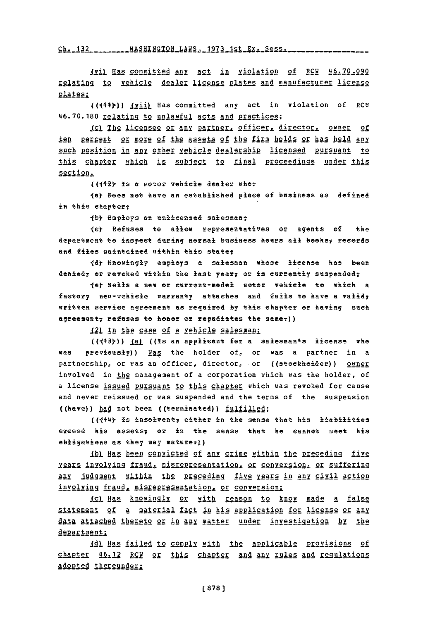**Ch- 132 VASHTNGTON** LAWS **lq73** 1st Ex. SeSs.

Ili) Bas committed any act in violation **of** RCW **46.70.090** relating to vehicle dealer license plates and manufacturer license plates;

((444)) (vii) Has committed any act in violation of RCH 46.70.180 relating to unlawful acts and practices;

**jgl** IhS licensee or **any** partner, of ficer, dir ector, owner of ten percent or more of the 9ssets **of** the firm holds or has held any such position in any other yehicle dealership licensed pursuant to this chapter which is subject to final Proceedings under this section.

((142) Is a moter vehicle dealer whe?

**ley** Bees net have an established plaee of busintess as defined in this chaptery

 $\{b\}$  Employs an unlicensed salesman;

ley Refuses to allwe representatives er agents of the department to inspect during normal business hours all books; records and files maintained within this state:

**Idy** Kneingly employs **a** salesman whose license has been denied<sub>7</sub> or revoked within the last year, or is currently suspended?

ley **Sells** a new or earrent-medel seter vehiele to which a faetory neu-vehiele warranty attaches and fails to have a valid, written serviee agreement as required **by** this chapter or having such agreement<sub>7</sub> refuses te honor or repudiates the same<sub>7</sub>))

**121** In the case of a vehicle salesman:

((443))) <u>(a)</u> ((Is an applicant for a salesman<sup>s</sup>s license who **was previously))** Ngs the holder of, or was a partner in a partnership, or was an officer, director, or ((steekheider)) owner involved in the management of a corporation which was the holder, of a license issued pursuant to this chapter which was revoked for cause and never reissued or was suspended and the terms of the suspension ((have)) had not been ((terminated)) fulfilled;

**((144y** is inselveaty either in the sense that his liabilities exeeed his assets; or in the sense that he cannot meet his obligations as they may maturer))

Ibl Has been convicted of any crime within the preceding five xears involving fraud, misrepresentation, or conversion, or suffering any judgment within the preceding five years in any civil action involving fraud, misrepresentation, or conversion;

ICL Has knowingly or with reason to know made a false statement of a material fact in his application for license or any AAtA sAggg~ :thereto or in **any** mater undae investigation by the department:

**1A]** Has failed to comply with the Applicable provisions of chagger 46.12 RCW or this chapter and any rules **and** ggulations adopted thereunder: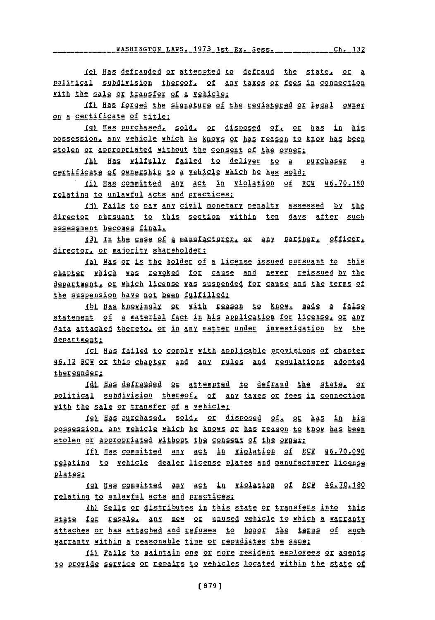le) **Has** defrauded 95 **aREgeged** to defraud the state, or a political subdivision thereof, of any taxes or fees in connection with the sale or transfer of a vehicle:

*Ifi* **Uas** fged the signature of the registered or **Iggal gyne** on a certificate of title:

**12g Has** garchjI.d., **§91ft** 2 4isp9s24 of, or has in his possession, **any** vehicle which he knows or has reason to know has been stolen or appropriated without the consent of the owner:

**JbI** HAs wilfully failed to deliver to **a purchaser a** certificate of ownership to **a** vehicle which he has sold:

**Ji)** hgs committed any act in violation of RCW **46.70.180** relating to unlawful acts and practices.

Iil Fails to pay any civil monetary penalty assessed by the director pursuant to this sectign yithin ten days after such assessment becomes final.

131 In the case of a manufacturer, or any partner, officer, director, or majority shareholder:

**JAI** Was or is the holder of a license issued pursuant to this chapter which was revoked for cause and never reissued by the department, or which license was suspended for cause and the terms of the suspension have not been fulfilled:

ALL **BA&** 19911891 pr with ESson to know made **a** false statement of a material fact in his application for license, or any !aala **Aiaghgd** thereto. or in any atter under investigation **by** the department:

**191 Has§** fail2d **12 299p1x** Mih Li 2 g b prqvisions of chapter .L12 2r this ch **gj2K** gnd **Any** rules **ABA** Lq tions adopted thereunder;

**1dl Has defrauded or attempted to defraud the state, or** political subdivision thereof. of any taxes or fees in connection with the sale or transfer of a vehicle:

1el Has purchased, sold, or disposed of, or has in his possession, any vehicle which he knows or has reason to know has been stolen or appropriated without the consent of the owner:

**iL** Has committed any **act** in vi2ation of RCW **46.70.090** relating to vehicle dealer license Plates and manufacturer license plates:

1gl Has committed any act in violation of RCW 46.70.180 relating to unlawful acts and practices:

JhI Sells or djglibutes **in** this state or transfers into this state for resale, any new or unused vehicle to which a warranty attaches or has attached and refuses to honor the terms of such warranty within a reasonable time or repudiates the same:

1il Fails to maintain one or more resident employees or agents to provide service or repairs to vehicles located within the state of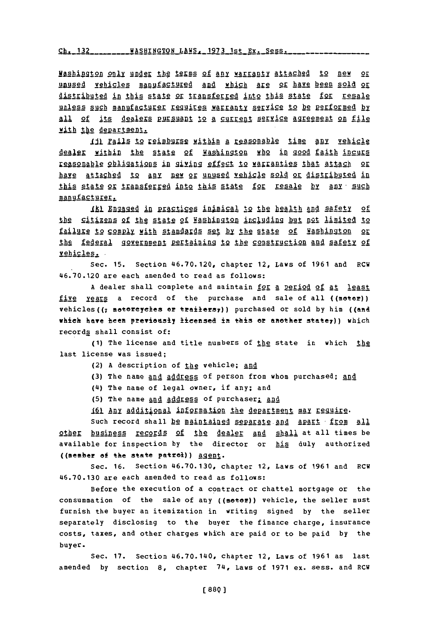## <u>h. 132 - - - - - - WASHINGTON LAWS, 1973 1st Ex. Sess.</u>

Hashington only under the terms of any warranty attached to new or unused vehicles manufactured and which are or have been sold or distibuted in this state or transferred into this state for resale unless such manufacturer requires warranty service to be performed by all of its dealers pursuant to a current service agreement on file with the department.

111 Fails to reimburse within a reasonable time any vehicle dealer within the state of Washington who in good faith incurs 12fa§2Ahle o2lggtJ9is 1D **gniing** effect to warranties that attach or **have attached to Iny** new or unused vehicle sold or distributed in this state or transferred into this state for resale by any such manufacturer.

Ik) Engaged in practices inimical to the health and safety of the citizens of the state of Washington including but not limited to failure to comply with standards set by the state of Washington or the federal government pertaining to the construction and safety of vehicles.

Sec. **15.** Section 46.70.120, chapter 12, Laws of **1961** and RCW 46.70.120 are each amended to read as follows:

**A** dealer shall complete and maintain for a Period of at **least** five years a record of the purchase and sale of all ((motor)) vehicles((7 metereyeles or trailersy)) purchased or sold **by** him ((and which have been previously licensed in this or another state7)) which records shall consist of:

(1) The license and title numbers of the state in which the last license was issued;

- (2) A description of the vehicle; and
- **(3)** The name and address of person from whom purchased; and
- (4) The name of legal owner, if any; and
- **(5)** The name and addres **of** purchaserl **aag**
- 161 Any additional information the department may require.

such record shall be maintained separate and apart from all other business records **of** the dealer **and** shall at all times be available for inspection **by** the director or his duly authorized ((member of the state patrol))  $\underline{agent}$ .

Sec. **16.** Section **46.70.130,** chapter 12, Laws of **1961** and RCW **46.70.130** are each amended to read as follows:

Before the execution of a contract or chattel mortgage or the consummation of the sale of any ((motor)) vehicle, the seller must furnish the buyer an itemization in writing signed **by** the seller separately disclosing to the buyer the finance charge, insurance costs, taxes, and other charges which are paid or to be paid **by** the buyer.

Sec. **17.** Section 46.70.140, chapter 12, Laws of **1961** as last amended **by** section **8,** chapter 74, Laws of **1971** ex. sess. and RCW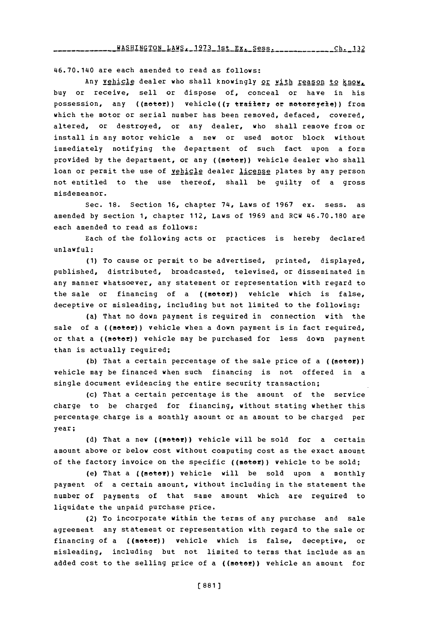46.70.1140 are each amended to read as follows:

Any vehicle dealer who shall knowingly or with reason to know. buy or receive, sell or dispose of, conceal or have in his possession, any ((motor)) vehicle((7 traiter7 or motorcycle)) from which the motor or serial number has been removed, defaced, covered, altered, or destroyed, or any dealer, who shall remove from or install in any motor vehicle a new or used motor block without immediately notifying the department of such fact upon a form provided by the department, or any ((motor)) vehicle dealer who shall loan or permit the use of vehicle dealer license plates by any person not entitled to the use thereof, shall be guilty of a gross misdemeanor.

Sec. **18.** Section **16,** chapter **714,** Laws of **1967** ex. sess. as amended **by** section **1,** chapter 112, Laws of **1969** and RCW 46.70.180 are each amended to read as follows:

Each of the following acts or practices is hereby declared unlawful:

**(1)** To cause or permit to be advertised, printed, displayed, published, distributed, broadcasted, televised, or disseminated in any manner whatsoever, any statement or representation with regard to the sale or financing of a ((motor)) vehicle which is false, deceptive or misleading, including but not limited to the following:

(a) That no down payment is required in connection with the sale of a ((motor)) vehicle when a down payment is in fact required, or that a ((motor)) vehicle may be purchased for less down payment than is actually required;

**(b)** That a certain percentage of the sale price of a ((motor)) vehicle may be financed when such financing is not offered in a single document evidencing the entire security transaction;

(c) That a certain percentage is the amount of the service charge to be charged for financing, without stating whether this percentage charge is a monthly amount or an amount to be charged per year;

**(d)** That a new ((meter)) vehicle will be sold for a certain amount above or below cost without computing cost as the exact amount of the factory invoice on the specific ((motor)) vehicle to be sold;

(e) That a ((metof)) vehicle will be sold upon a monthly payment of a certain amount, without including in the statement the number of payments of that same amount which are required to liquidate the unpaid purchase price.

(2) To incorporate within the terms of any purchase and sale agreement any statement or representation with regard to the sale or financing of a ((motor)) vehicle which is false, deceptive, or misleading, including but not limited to terms that include as an added cost to the selling price of a  $((\texttt{move})$ ) vehicle an amount for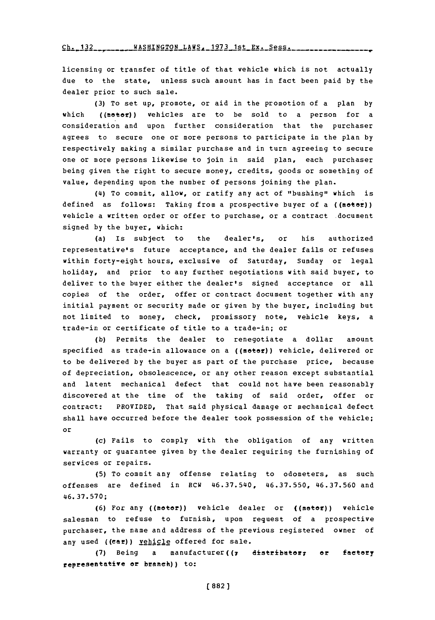Ch. 132 \_\_\_\_\_\_\_ WASHINGTON LAWS, 1973 1st Ex. Sess. \_\_\_\_\_\_\_\_\_\_\_

licensing or transfer of title of that vehicle which is not actually due to the state, unless such amount has in fact been paid **by** the dealer prior to such sale.

**(3)** To set up, promote, or aid in the promotion of a plan **by** which ((motor)) vehicles are to be sold to a person for a consideration and upon further consideration that the purchaser agrees to secure one or more persons to participate in the plan **by** respectively making a similar purchase and in turn agreeing to secure one or more persons likewise to join in said plan, each purchaser being given the right to secure money, credits, goods or something of value, depending upon the number of persons joining the plan.

(14) To commit, allow, or ratify any act of "bushing" which is defined as follows: Taking from a prospective buyer of a ((motor)) vehicle a written order or offer to purchase, or a contract document signed **by** the buyer, which:

(a) Is subject to the dealer's, or his authorized representative's future acceptance, and the dealer fails or refuses within forty-eight hours, exclusive of Saturday, Sunday or legal holiday, and prior to any further negotiations with said buyer, to deliver to the buyer either the dealer's signed acceptance or all copies of the order, offer or contract document together with any initial payment or security made or given **by** the buyer, including but not limited to money, check, promissory note, vehicle keys, a trade-in or certificate of title to a trade-in; or

**(b)** Permits the dealer to renegotiate a dollar amount specified as trade-in allowance on a ((motor)) vehicle, delivered or to be delivered **by** the buyer as part of the purchase price, because of depreciation, obsolescence, or any other reason except substantial and latent mechanical defect that could not have been reasonably discovered at the time of the taking of said order, offer or contract: PROVIDED, That said physical damage or mechanical defect shall have occurred before the dealer took possession of the vehicle; or

(c) Fails to comply with the obligation of any written warranty or guarantee given **by** the dealer requiring the furnishing of services or repairs.

**(5)** To commit any offense relating to odometers, as such offenses are defined in RCW 46.37.540, **46.37.550, 46.37.560** and **46.37.570;**

**(6)** For any ((meter)) vehicle dealer or ((meter)) vehicle salesman to refuse to furnish, upon request of a prospective purchaser, the name and address of the previous registered owner of any used ((car)) yehicle offered for sale.

(7) Being a manufacturer((7 distributer; or factory representative or **branch**)) to: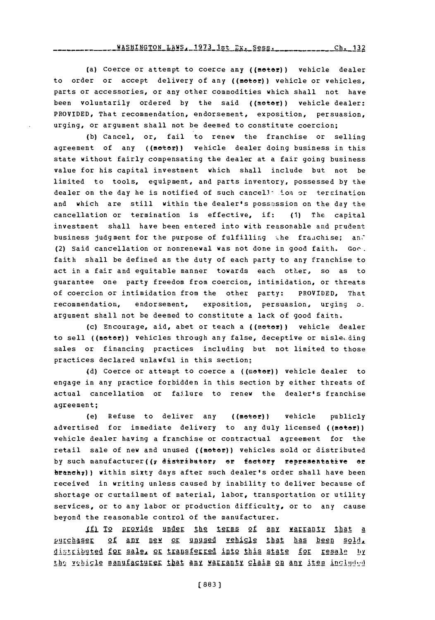## **1973.1st Best - Ch. 132** Ch. 132

(a) Coerce or attempt to coerce any ((meter)) vehicle dealer to order or accept delivery of any ((motor)) vehicle or vehicles, parts or accessories, or any other commodities which shall not have been voluntarily ordered by the said ((motor)) vehicle dealer: PROVIDED, That recommendation, endorsement, exposition, persuasion, urging, or argument shall not be deemed to constitute coercion;

**(b)** cancel, or, fail to renew the franchise or selling agreement of any ((motor)) vehicle dealer doing business in this state without fairly compensating the dealer at a fair going business value for his capital investment which shall include but not be limited to tools, equipment, and parts inventory, possessed **by** the dealer on the day he is notified of such cancell ion or termination and which are still within the dealer's possession on the day the cancellation or termination is effective, if: **(1)** The capital investment shall have been entered into with reasonable and prudent business judgment for the purpose of fulfilling the frauchise; and (2) Said cancellation or nonrenewal was not done in good faith. Goo. faith shall be defined as the duty of each party to any franchise to act in a fair and equitable manner towards each other, so as to guarantee one party freedom from coercion, intimidation, or threats of coercion or intimidation from the other party: PROVIDED, That recommendation, endorsement, exposition, persuasion, urging oargument shall not be deemed to constitute a lack of good faith.

(c) Encourage, aid, abet or teach a  $((\texttt{moeve})\)$  vehicle dealer to sell ((motor)) vehicles through any false, deceptive or misleeding sales or financing practices including but not limited to those practices declared unlawful in this section;

**(d)** Coerce or attempt to coerce a ((mete!)) vehicle dealer to engage in any practice forbidden in this section **by** either threats of actual cancellation or failure to renew the dealer's franchise agreement;

(e) Refuse to deliver any ((motor)) vehicle publicly advertised for immediate delivery to any duly licensed ((motor)) vehicle dealer having a franchise or contractual agreement for the retail sale of new and unused ((motor)) vehicles sold or distributed by such manufacturer((r distributor; or factory representative or branch;) ) within sixty days after such dealer's order shall have been received in writing unless caused **by** inability to deliver because of shortage or curtailment of material, labor, transportation or utility services, or to any labor or production difficulty, or to any cause beyond the reasonable control of the manufacturer.

4f 1 provide under the terms of any **yarrnl** that a **pLAserA§2 of any nfew or** unused vehicle that has been sold,\_ distributed for sale, or transferred into this state for resale by the vehigle manufacturer that any warranty claim on any item included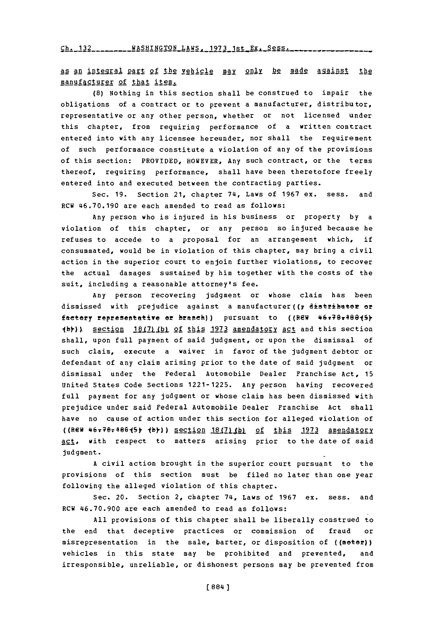Ch. 132<sub>11112</sub> WASHINGTON LAWS, 1973 1st Ex. Sess.

as an integral part of the vehicle may only be made against the manufacturer of that item.

**(8)** Nothing in this section shall be construed to impair the obligations of a contract or to prevent a manufacturer, distributor, representative or any other person, whether or not licensed under this chapter, from requiring performance of a written contract entered into with any licensee hereunder, nor shall the requirement of such performance constitute a violation of any of the provisions of this section: PROVIDED, HOWEVER, Any such contract, or the terms thereof, requiring performance, shall have been theretofore freely entered into and executed between the contracting parties.

Sec. **19.** Section 21, chapter 74, Laws of **1967** ex. sess. and RCW **46.70.190** are each amended to read as follows:

Any person who is injured in his business or property **by** a violation of this chapter, or any person so injured because he refuses to accede to a proposal for an arrangement which, if consummated, would be in violation of this chapter, may bring a civil action in the superior court to enjoin further violations, to recover the actual damages sustained **by** him together with the costs of the suit, including a reasonable attorney's fee.

Any person recovering judgment or whose claim has been dismissed with prejudice against a manufacturer((7 distributor or factory representative or branch)) pursuant to ((REW 46+70+480+5). **Jhy)** section **U1111121 2f** this **1973** amendatory act and this section shall, upon full payment of said judgment, or upon the dismissal of such claim, execute a waiver in favor of the judgment debtor or defendant of any claim arising prior to the date of said judgment or dismissal under the Federal Automobile Dealer Franchise Act, **15** United States Code Sections **1221-1225.** Any person having recovered full payment for any judgment or whose claim has been dismissed with prejudice under said Federal Automobile Dealer Franchise Act shall have no cause of action under this section for alleged violation of ((REW **46T7e?48615k jbf)** &eclion **18(2)\_,(12** of this **1973** amendatory act, with respect to matters arising prior to the date of said judgment.

**A** civil action brought in the superior court pursuant to the provisions of this section must be filed no later than one year following the alleged violation of this chapter.

Sec. 20. Section 2, chapter 74, Laws of **1967** ex. sess. and RCW **46.70.900** are each amended to read as follows:

**All** provisions of this chapter shall be liberally construed to the end that deceptive practices or commission of fraud or misrepresentation in the sale, barter, or disposition of ((meter) vehicles in this state may be prohibited and prevented, and irresponsible, unreliable, or dishonest persons may be prevented from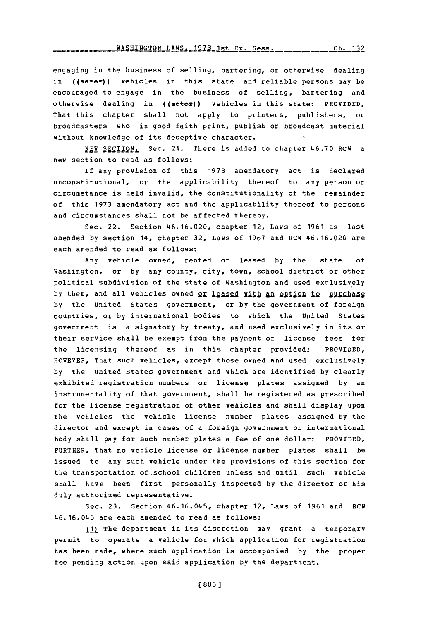WASHINGTON LAWS. 1973 1st Ex. Sess. \_\_\_\_\_\_\_\_\_\_\_\_\_Ch. 132

engaging in the business of selling, bartering, or otherwise dealing in ((motor)) vehicles in this state and reliable persons may be encouraged to engage in the business of selling, bartering and otherwise dealing in ((motor)) vehicles in this state: PROVIDED, That this chapter shall not apply to printers, publishers, or broadcasters who in good faith print, publish or broadcast material without knowledge of its deceptive character.

**NEW** SECTION. Sec. 21. There is added to chapter 46.70 RCW a new section to read as follows:

If any provision of this **1973** amendatory act is declared unconstitutional, or the applicability thereof to any person or circumstance is held invalid, the constitutionality of the remainder of this **1973** amendatory act and the applicability thereof to persons and circumstances shall not be affected thereby.

Sec. 22. Section 46.16.020, chapter 12, Laws of **1961** as last amended **by** section 14, chapter **32,** Laws of **1967** and RCW 46.16.020 are each amended to read as follows:

Any vehicle owned, rented or leased **by** the state **of** Washington, or **by** any county, city, town, school district or other political subdivision of the state of Washington and used exclusively by them, and all vehicles owned or leased with an option to purchase **by** the United States government, or **by** the government of foreign countries, or **by** international bodies to which the United States government is a signatory **by** treaty, and used exclusively in its or their service shall be exempt from the payment of license fees for the licensing thereof as in this chapter provided: PROVIDED, HOWEVER, That such vehicles, except those owned and used exclusively **by** the United States government and which are identified **by** clearly exhibited registration numbers or license plates assigned **by** an instrumentality of that government, shall be registered as prescribed for the license registration of other vehicles and shall display upon the vehicles the vehicle license number plates assigned **by** the director and except in cases of a foreign government or international body shall pay for such number plates a fee of one dollar: PROVIDED, FURTHER, That no vehicle license or license number plates shall be issued to any such vehicle under the provisions of this section for the transportation of-school children unless and until such vehicle shall have been first personally inspected **by** the director or his duly authorized representative.

Sec. **23.** Section 46.16.045, chapter 12, Laws of **1961** and RCW 46. 16.045 are each amended to read as follows:

**IfL.1** The department in its discretion may grant a temporary permit to operate a vehicle for which application for registration has been made, where such application is accompanied **by** the proper fee pending action upon said application **by** the department.